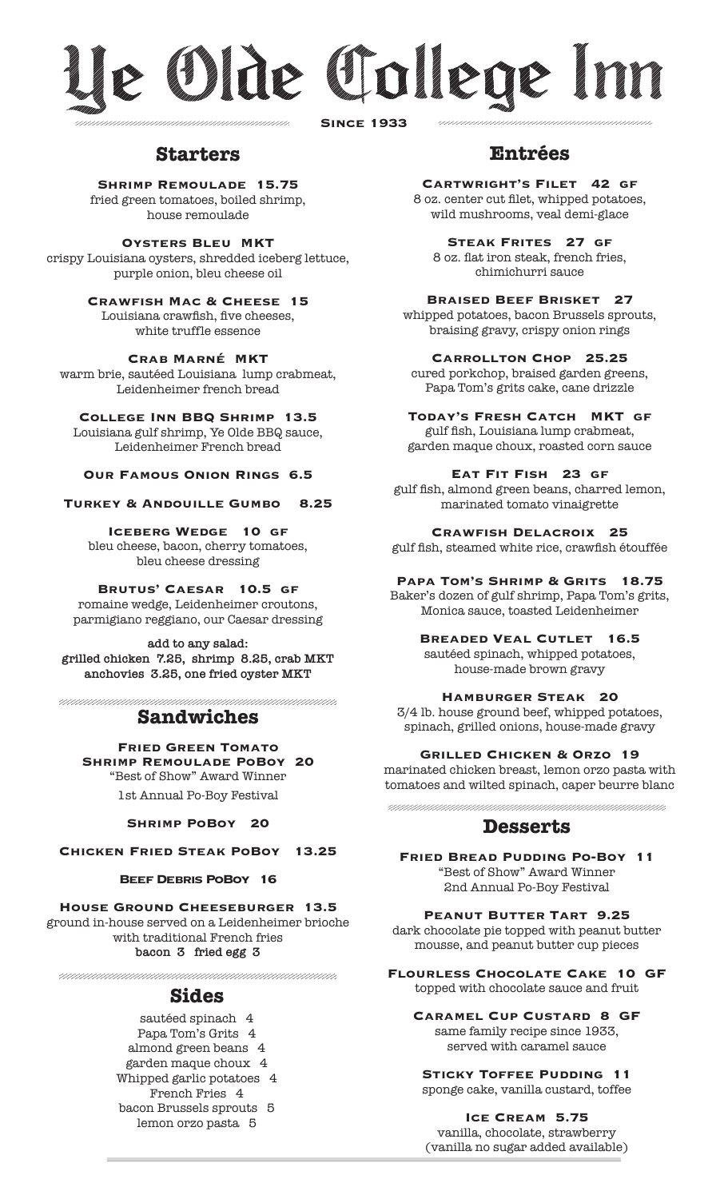# e Gile Galere Ini

**Since 1933**

# **Starters**

**Shrimp Remoulade 15.75**

fried green tomatoes, boiled shrimp, house remoulade

**Oysters Bleu MKT**

crispy Louisiana oysters, shredded iceberg lettuce, purple onion, bleu cheese oil

> **Crawfish Mac & Cheese 15** Louisiana crawfish, five cheeses, white truffle essence

**Crab Marné MKT** warm brie, sautéed Louisiana lump crabmeat, Leidenheimer french bread

**College Inn BBQ Shrimp 13.5** Louisiana gulf shrimp, Ye Olde BBQ sauce, Leidenheimer French bread

## **Our Famous Onion Rings 6.5**

**Turkey & Andouille Gumbo 8.25**

**Iceberg Wedge 10 gf** bleu cheese, bacon, cherry tomatoes, bleu cheese dressing

**Brutus' Caesar 10.5 gf**  romaine wedge, Leidenheimer croutons, parmigiano reggiano, our Caesar dressing

**add to any salad: grilled chicken 7.25, shrimp 8.25, crab MKT anchovies 3.25, one fried oyster MKT**

## **Sandwiches**

**Fried Green Tomato Shrimp Remoulade PoBoy 20** "Best of Show" Award Winner 1st Annual Po-Boy Festival

**Shrimp PoBoy 20**

**Chicken Fried Steak PoBoy 13.25**

## **Beef Debris PoBoy 16**

**House Ground Cheeseburger 13.5**

ground in-house served on a Leidenheimer brioche with traditional French fries **bacon 3 fried egg 3** 

J ummummum unnunnunnun

# **Sides**

sautéed spinach 4 Papa Tom's Grits 4 almond green beans 4 garden maque choux 4 Whipped garlic potatoes 4 French Fries 4 bacon Brussels sprouts 5 lemon orzo pasta 5

# **Entrées**

**Cartwright's Filet 42 gf** 8 oz. center cut filet, whipped potatoes, wild mushrooms, veal demi-glace

**Steak Frites 27 gf** 8 oz. flat iron steak, french fries, chimichurri sauce

**Braised Beef Brisket 27** whipped potatoes, bacon Brussels sprouts, braising gravy, crispy onion rings

**Carrollton Chop 25.25** cured porkchop, braised garden greens, Papa Tom's grits cake, cane drizzle

**Today's Fresh Catch MKT gf** gulf fish, Louisiana lump crabmeat, garden maque choux, roasted corn sauce

**Eat Fit Fish 23 gf** gulf fish, almond green beans, charred lemon, marinated tomato vinaigrette

**Crawfish Delacroix 25** gulf fish, steamed white rice, crawfish étouffée

## **Papa Tom's Shrimp & Grits 18.75**

Baker's dozen of gulf shrimp, Papa Tom's grits, Monica sauce, toasted Leidenheimer

> **Breaded Veal Cutlet 16.5** sautéed spinach, whipped potatoes, house-made brown gravy

**Hamburger Steak 20**

3/4 lb. house ground beef, whipped potatoes, spinach, grilled onions, house-made gravy

**Grilled Chicken & Orzo 19**

marinated chicken breast, lemon orzo pasta with tomatoes and wilted spinach, caper beurre blanc

ummum ummummu

# **Desserts**

**Fried Bread Pudding Po-Boy 11** "Best of Show" Award Winner 2nd Annual Po-Boy Festival

**PEANUT BUTTER TART 9.25** dark chocolate pie topped with peanut butter mousse, and peanut butter cup pieces

**Flourless Chocolate Cake 10 GF** topped with chocolate sauce and fruit

**Caramel Cup Custard 8 GF**  same family recipe since 1933, served with caramel sauce

**STICKY TOFFEE PUDDING 11** 

sponge cake, vanilla custard, toffee

**Ice Cream 5.75**  vanilla, chocolate, strawberry (vanilla no sugar added available)